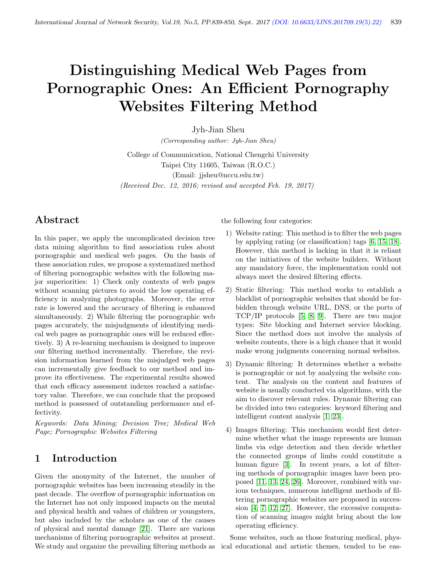# Distinguishing Medical Web Pages from Pornographic Ones: An Efficient Pornography Websites Filtering Method

Jyh-Jian Sheu

(Corresponding author: Jyh-Jian Sheu)

College of Communication, National Chengchi University Taipei City 11605, Taiwan (R.O.C.) (Email: jjsheu@nccu.edu.tw) (Received Dec. 12, 2016; revised and accepted Feb. 19, 2017)

# Abstract

In this paper, we apply the uncomplicated decision tree data mining algorithm to find association rules about pornographic and medical web pages. On the basis of these association rules, we propose a systematized method of filtering pornographic websites with the following major superiorities: 1) Check only contexts of web pages without scanning pictures to avoid the low operating efficiency in analyzing photographs. Moreover, the error rate is lowered and the accuracy of filtering is enhanced simultaneously. 2) While filtering the pornographic web pages accurately, the misjudgments of identifying medical web pages as pornographic ones will be reduced effectively. 3) A re-learning mechanism is designed to improve our filtering method incrementally. Therefore, the revision information learned from the misjudged web pages can incrementally give feedback to our method and improve its effectiveness. The experimental results showed that each efficacy assessment indexes reached a satisfactory value. Therefore, we can conclude that the proposed method is possessed of outstanding performance and effectivity.

Keywords: Data Mining; Decision Tree; Medical Web Page; Pornographic Websites Filtering

# 1 Introduction

Given the anonymity of the Internet, the number of pornographic websites has been increasing steadily in the past decade. The overflow of pornographic information on the Internet has not only imposed impacts on the mental and physical health and values of children or youngsters, but also included by the scholars as one of the causes of physical and mental damage [\[21\]](#page-11-0). There are various mechanisms of filtering pornographic websites at present. We study and organize the prevailing filtering methods as the following four categories:

- 1) Website rating: This method is to filter the web pages by applying rating (or classification) tags [\[6,](#page-10-0) [15,](#page-11-1) [18\]](#page-11-2). However, this method is lacking in that it is reliant on the initiatives of the website builders. Without any mandatory force, the implementation could not always meet the desired filtering effects.
- 2) Static filtering: This method works to establish a blacklist of pornographic websites that should be forbidden through website URL, DNS, or the ports of TCP/IP protocols [\[5,](#page-10-1) [8,](#page-10-2) [9\]](#page-10-3). There are two major types: Site blocking and Internet service blocking. Since the method does not involve the analysis of website contents, there is a high chance that it would make wrong judgments concerning normal websites.
- 3) Dynamic filtering: It determines whether a website is pornographic or not by analyzing the website content. The analysis on the content and features of website is usually conducted via algorithms, with the aim to discover relevant rules. Dynamic filtering can be divided into two categories: keyword filtering and intelligent content analysis [\[1,](#page-10-4) [23\]](#page-11-3).
- 4) Images filtering: This mechanism would first determine whether what the image represents are human limbs via edge detection and then decide whether the connected groups of limbs could constitute a human figure [\[3\]](#page-10-5). In recent years, a lot of filtering methods of pornographic images have been proposed [\[11,](#page-10-6) [13,](#page-11-4) [24,](#page-11-5) [26\]](#page-11-6). Moreover, combined with various techniques, numerous intelligent methods of filtering pornographic websites are proposed in succession [\[4,](#page-10-7) [7,](#page-10-8) [12,](#page-10-9) [27\]](#page-11-7). However, the excessive computation of scanning images might bring about the low operating efficiency.

Some websites, such as those featuring medical, physical educational and artistic themes, tended to be eas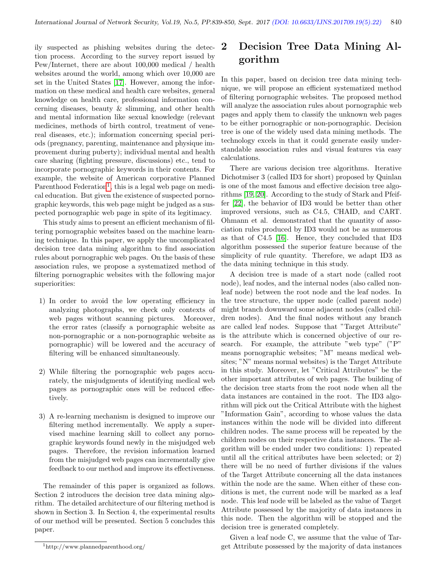ily suspected as phishing websites during the detection process. According to the survey report issued by Pew/Internet, there are about 100,000 medical / health websites around the world, among which over 10,000 are set in the United States [\[17\]](#page-11-8). However, among the information on these medical and health care websites, general knowledge on health care, professional information concerning diseases, beauty & slimming, and other health and mental information like sexual knowledge (relevant medicines, methods of birth control, treatment of venereal diseases, etc.); information concerning special periods (pregnancy, parenting, maintenance and physique improvement during puberty); individual mental and health care sharing (fighting pressure, discussions) etc., tend to incorporate pornographic keywords in their contents. For example, the website of American corporative Planned Parenthood Federation<sup>[1](#page-1-0)</sup>, this is a legal web page on medical education. But given the existence of suspected pornographic keywords, this web page might be judged as a suspected pornographic web page in spite of its legitimacy.

This study aims to present an efficient mechanism of filtering pornographic websites based on the machine learning technique. In this paper, we apply the uncomplicated decision tree data mining algorithm to find association rules about pornographic web pages. On the basis of these association rules, we propose a systematized method of filtering pornographic websites with the following major superiorities:

- 1) In order to avoid the low operating efficiency in analyzing photographs, we check only contexts of web pages without scanning pictures. Moreover, the error rates (classify a pornographic website as non-pornographic or a non-pornographic website as pornographic) will be lowered and the accuracy of filtering will be enhanced simultaneously.
- 2) While filtering the pornographic web pages accurately, the misjudgments of identifying medical web pages as pornographic ones will be reduced effectively.
- 3) A re-learning mechanism is designed to improve our filtering method incrementally. We apply a supervised machine learning skill to collect any pornographic keywords found newly in the misjudged web pages. Therefore, the revision information learned from the misjudged web pages can incrementally give feedback to our method and improve its effectiveness.

The remainder of this paper is organized as follows. Section 2 introduces the decision tree data mining algorithm. The detailed architecture of our filtering method is shown in Section 3. In Section 4, the experimental results of our method will be presented. Section 5 concludes this paper.

# 2 Decision Tree Data Mining Algorithm

In this paper, based on decision tree data mining technique, we will propose an efficient systematized method of filtering pornographic websites. The proposed method will analyze the association rules about pornographic web pages and apply them to classify the unknown web pages to be either pornographic or non-pornographic. Decision tree is one of the widely used data mining methods. The technology excels in that it could generate easily understandable association rules and visual features via easy calculations.

There are various decision tree algorithms. Iterative Dichotmiser 3 (called ID3 for short) proposed by Quinlan is one of the most famous and effective decision tree algorithms [\[19,](#page-11-9) [20\]](#page-11-10). According to the study of Stark and Pfeiffer [\[22\]](#page-11-11), the behavior of ID3 would be better than other improved versions, such as C4.5, CHAID, and CART. Ohmann et al. demonstrated that the quantity of association rules produced by ID3 would not be as numerous as that of C4.5 [\[16\]](#page-11-12). Hence, they concluded that ID3 algorithm possessed the superior feature because of the simplicity of rule quantity. Therefore, we adapt ID3 as the data mining technique in this study.

A decision tree is made of a start node (called root node), leaf nodes, and the internal nodes (also called nonleaf node) between the root node and the leaf nodes. In the tree structure, the upper node (called parent node) might branch downward some adjacent nodes (called children nodes). And the final nodes without any branch are called leaf nodes. Suppose that "Target Attribute" is the attribute which is concerned objective of our research. For example, the attribute "web type" ("P" means pornographic websites; "M" means medical websites; "N" means normal websites) is the Target Attribute in this study. Moreover, let "Critical Attributes" be the other important attributes of web pages. The building of the decision tree starts from the root node when all the data instances are contained in the root. The ID3 algorithm will pick out the Critical Attribute with the highest "Information Gain", according to whose values the data instances within the node will be divided into different children nodes. The same process will be repeated by the children nodes on their respective data instances. The algorithm will be ended under two conditions: 1) repeated until all the critical attributes have been selected; or 2) there will be no need of further divisions if the values of the Target Attribute concerning all the data instances within the node are the same. When either of these conditions is met, the current node will be marked as a leaf node. This leaf node will be labeled as the value of Target Attribute possessed by the majority of data instances in this node. Then the algorithm will be stopped and the decision tree is generated completely.

Given a leaf node C, we assume that the value of Target Attribute possessed by the majority of data instances

<span id="page-1-0"></span><sup>1</sup>http://www.plannedparenthood.org/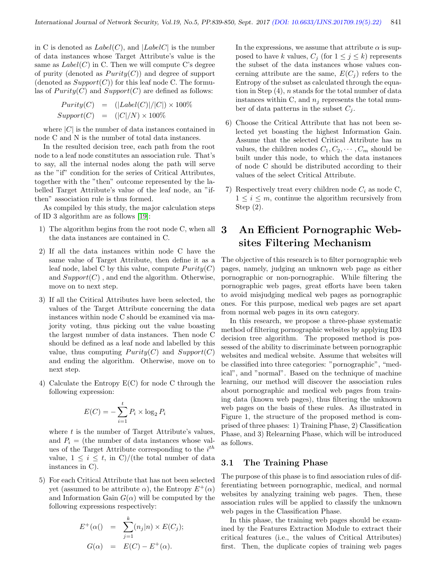in C is denoted as  $Label(C)$ , and  $|LabelC|$  is the number of data instances whose Target Attribute's value is the same as  $Label(C)$  in C. Then we will compute C's degree of purity (denoted as  $Purity(C)$ ) and degree of support (denoted as  $Support(C)$ ) for this leaf node C. The formulas of  $Purity(C)$  and  $Support(C)$  are defined as follows:

$$
Purity(C) = (|\text{Label}(C)|/|C|) \times 100\%
$$
  
Support(C) = (|C|/N) \times 100\%

where  $|C|$  is the number of data instances contained in node C and N is the number of total data instances.

In the resulted decision tree, each path from the root node to a leaf node constitutes an association rule. That's to say, all the internal nodes along the path will serve as the "if" condition for the series of Critical Attributes, together with the "then" outcome represented by the labelled Target Attribute's value of the leaf node, an "ifthen" association rule is thus formed.

As compiled by this study, the major calculation steps of ID 3 algorithm are as follows [\[19\]](#page-11-9):

- 1) The algorithm begins from the root node C, when all the data instances are contained in C.
- 2) If all the data instances within node C have the same value of Target Attribute, then define it as a leaf node, label C by this value, compute  $Purity(C)$ and  $Support(C)$ , and end the algorithm. Otherwise, move on to next step.
- 3) If all the Critical Attributes have been selected, the values of the Target Attribute concerning the data instances within node C should be examined via majority voting, thus picking out the value boasting the largest number of data instances. Then node C should be defined as a leaf node and labelled by this value, thus computing  $Purity(C)$  and  $Support(C)$ and ending the algorithm. Otherwise, move on to next step.
- 4) Calculate the Entropy E(C) for node C through the following expression:

$$
E(C) = -\sum_{i=1}^{t} P_i \times \log_2 P_i
$$

where  $t$  is the number of Target Attribute's values, and  $P_i$  = (the number of data instances whose values of the Target Attribute corresponding to the  $i^{th}$ value,  $1 \leq i \leq t$ , in C)/(the total number of data instances in C).

5) For each Critical Attribute that has not been selected yet (assumed to be attribute  $\alpha$ ), the Entropy  $E^+(\alpha)$ and Information Gain  $G(\alpha)$  will be computed by the following expressions respectively:

$$
E^+(\alpha) = \sum_{j=1}^k (n_j | n) \times E(C_j);
$$
  

$$
G(\alpha) = E(C) - E^+(\alpha).
$$

In the expressions, we assume that attribute  $\alpha$  is supposed to have k values,  $C_j$  (for  $1 \leq j \leq k$ ) represents the subset of the data instances whose values concerning attribute are the same,  $E(C_i)$  refers to the Entropy of the subset as calculated through the equation in Step  $(4)$ , *n* stands for the total number of data instances within C, and  $n_i$  represents the total number of data patterns in the subset  $C_i$ .

- 6) Choose the Critical Attribute that has not been selected yet boasting the highest Information Gain. Assume that the selected Critical Attribute has m values, the children nodes  $C_1, C_2, \cdots, C_m$  should be built under this node, to which the data instances of node C should be distributed according to their values of the select Critical Attribute.
- 7) Respectively treat every children node  $C_i$  as node C,  $1 \leq i \leq m$ , continue the algorithm recursively from Step (2).

# 3 An Efficient Pornographic Websites Filtering Mechanism

The objective of this research is to filter pornographic web pages, namely, judging an unknown web page as either pornographic or non-pornographic. While filtering the pornographic web pages, great efforts have been taken to avoid misjudging medical web pages as pornographic ones. For this purpose, medical web pages are set apart from normal web pages in its own category.

In this research, we propose a three-phase systematic method of filtering pornographic websites by applying ID3 decision tree algorithm. The proposed method is possessed of the ability to discriminate between pornographic websites and medical website. Assume that websites will be classified into three categories: "pornographic", "medical", and "normal". Based on the technique of machine learning, our method will discover the association rules about pornographic and medical web pages from training data (known web pages), thus filtering the unknown web pages on the basis of these rules. As illustrated in Figure 1, the structure of the proposed method is comprised of three phases: 1) Training Phase, 2) Classification Phase, and 3) Relearning Phase, which will be introduced as follows.

### 3.1 The Training Phase

The purpose of this phase is to find association rules of differentiating between pornographic, medical, and normal websites by analyzing training web pages. Then, these association rules will be applied to classify the unknown web pages in the Classification Phase.

In this phase, the training web pages should be examined by the Features Extraction Module to extract their critical features (i.e., the values of Critical Attributes) first. Then, the duplicate copies of training web pages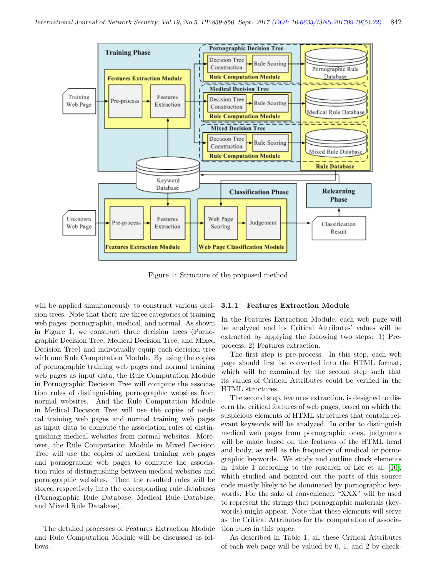

Figure 1: Structure of the proposed method

will be applied simultaneously to construct various decision trees. Note that there are three categories of training web pages: pornographic, medical, and normal. As shown in Figure 1, we construct three decision trees (Pornographic Decision Tree, Medical Decision Tree, and Mixed Decision Tree) and individually equip each decision tree with one Rule Computation Module. By using the copies of pornographic training web pages and normal training web pages as input data, the Rule Computation Module in Pornographic Decision Tree will compute the association rules of distinguishing pornographic websites from normal websites. And the Rule Computation Module in Medical Decision Tree will use the copies of medical training web pages and normal training web pages as input data to compute the association rules of distinguishing medical websites from normal websites. Moreover, the Rule Computation Module in Mixed Decision Tree will use the copies of medical training web pages and pornographic web pages to compute the association rules of distinguishing between medical websites and pornographic websites. Then the resulted rules will be stored respectively into the corresponding rule databases (Pornographic Rule Database, Medical Rule Database, and Mixed Rule Database).

The detailed processes of Features Extraction Module and Rule Computation Module will be discussed as follows.

#### 3.1.1 Features Extraction Module

In the Features Extraction Module, each web page will be analyzed and its Critical Attributes' values will be extracted by applying the following two steps: 1) Preprocess; 2) Features extraction.

The first step is pre-process. In this step, each web page should first be converted into the HTML format, which will be examined by the second step such that its values of Critical Attributes could be verified in the HTML structures.

The second step, features extraction, is designed to discern the critical features of web pages, based on which the suspicious elements of HTML structures that contain relevant keywords will be analyzed. In order to distinguish medical web pages from pornographic ones, judgments will be made based on the features of the HTML head and body, as well as the frequency of medical or pornographic keywords. We study and outline check elements in Table 1 according to the research of Lee et al. [\[10\]](#page-10-10), which studied and pointed out the parts of this source code mostly likely to be dominated by pornographic keywords. For the sake of convenience, "XXX" will be used to represent the strings that pornographic materials (keywords) might appear. Note that these elements will serve as the Critical Attributes for the computation of association rules in this paper.

As described in Table 1, all these Critical Attributes of each web page will be valued by 0, 1, and 2 by check-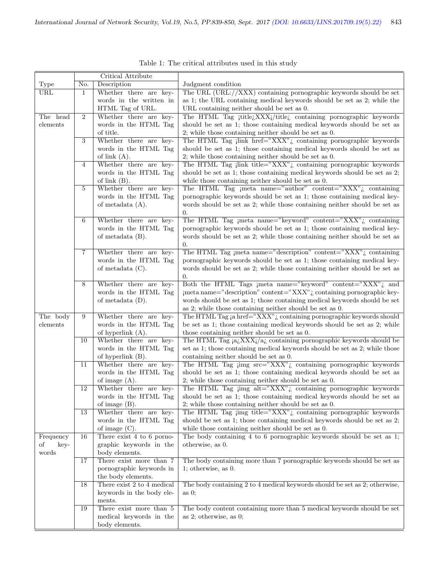|            |                  | Critical Attribute                                 |                                                                                                                                       |
|------------|------------------|----------------------------------------------------|---------------------------------------------------------------------------------------------------------------------------------------|
| Type       | No.              | Description                                        | Judgment condition                                                                                                                    |
| URL        | 1                | Whether there are key-                             | The URL $(URL://XXX)$ containing pornographic keywords should be set                                                                  |
|            |                  | words in the written in                            | as 1; the URL containing medical keywords should be set as 2; while the                                                               |
|            |                  | HTML Tag of URL.                                   | URL containing neither should be set as 0.                                                                                            |
| The head   | $\overline{2}$   | Whether there are key-                             | The HTML Tag jtitle XXXi/title i containing pornographic keywords                                                                     |
| elements   |                  | words in the HTML Tag                              | should be set as 1; those containing medical keywords should be set as                                                                |
|            |                  | of title.                                          | 2; while those containing neither should be set as $0$ .                                                                              |
|            | $\boldsymbol{3}$ | Whether there are key-                             | The HTML Tag $\  \text{link} \text{href{=}''XXX''} \cdot \text{containing pornographic keywords}$                                     |
|            |                  | words in the HTML Tag                              | should be set as 1; those containing medical keywords should be set as                                                                |
|            |                  | of link $(A)$ .                                    | 2; while those containing neither should be set as $0$ .                                                                              |
|            | 4                | Whether there are key-                             | The HTML $\overline{\text{Tag}}$ jlink title="XXX" <sub><math>\zeta</math></sub> containing pornographic keywords                     |
|            |                  | words in the HTML Tag<br>of link $(B)$ .           | should be set as 1; those containing medical keywords should be set as 2;<br>while those containing neither should be set as 0.       |
|            | 5                | Whether there are key-                             | The HTML Tag jmeta name="author" content=" $\text{XXX}$ " containing                                                                  |
|            |                  | words in the HTML Tag                              | pornographic keywords should be set as 1; those containing medical key-                                                               |
|            |                  | of metadata $(A)$ .                                | words should be set as 2; while those containing neither should be set as                                                             |
|            |                  |                                                    | 0.                                                                                                                                    |
|            | 6                | Whether there are key-                             | The HTML Tag jmeta name="keyword" content=" $\overline{XXX}$ "; containing                                                            |
|            |                  | words in the HTML Tag                              | pornographic keywords should be set as 1; those containing medical key-                                                               |
|            |                  | of metadata $(B)$ .                                | words should be set as 2; while those containing neither should be set as                                                             |
|            |                  |                                                    | 0.                                                                                                                                    |
|            | $\overline{7}$   | Whether there are key-                             | The HTML Tag jmeta name="description" content=" $\overline{XXX}$ " containing                                                         |
|            |                  | words in the HTML Tag                              | pornographic keywords should be set as 1; those containing medical key-                                                               |
|            |                  | of metadata $(C)$ .                                | words should be set as 2; while those containing neither should be set as                                                             |
|            |                  |                                                    | 0.                                                                                                                                    |
|            | 8                | Whether there are key-                             | Both the HTML Tags jmeta name="keyword" content=" $\overline{XXX}$ " and                                                              |
|            |                  | words in the HTML Tag                              | jmeta name="description" content="XXX"; containing pornographic key-                                                                  |
|            |                  | of metadata $(D)$ .                                | words should be set as 1; those containing medical keywords should be set<br>as 2; while those containing neither should be set as 0. |
| The body   | 9                | Whether there are key-                             | The HTML Tag ja href=" $\overline{XXX}$ "; containing pornographic keywords should                                                    |
| elements   |                  | words in the HTML Tag                              | be set as 1; those containing medical keywords should be set as 2; while                                                              |
|            |                  | of hyperlink $(A)$ .                               | those containing neither should be set as 0.                                                                                          |
|            | 10               | Whether there are key-                             | The HTML Tag $a_i$ XXX $j/a_i$ containing pornographic keywords should be                                                             |
|            |                  | words in the HTML Tag                              | set as 1; those containing medical keywords should be set as 2; while those                                                           |
|            |                  | of hyperlink $(B)$ .                               | containing neither should be set as 0.                                                                                                |
|            | 11               | Whether there are key-                             | The HTML Tag jimg $src="XXX"$ ; containing pornographic keywords                                                                      |
|            |                  | words in the HTML Tag                              | should be set as 1; those containing medical keywords should be set as                                                                |
|            |                  | of image $(A)$ .                                   | 2; while those containing neither should be set as $0$ .                                                                              |
|            | 12               | Whether there are key-                             | The HTML Tag $\lim_{\varepsilon}$ alt="XXX" <sub>i</sub> containing pornographic keywords                                             |
|            |                  | words in the HTML Tag                              | should be set as 1; those containing medical keywords should be set as<br>2; while those containing neither should be set as $0$ .    |
|            | 13               | of image $(B)$ .<br>Whether there are key-         | The HTML Tag jimg title=" $\text{XXX}^n$ ; containing pornographic keywords                                                           |
|            |                  | words in the HTML Tag                              | should be set as 1; those containing medical keywords should be set as 2;                                                             |
|            |                  | of image $(C)$ .                                   | while those containing neither should be set as 0.                                                                                    |
| Frequency  | 16               | There exist $4$ to $6$ porno-                      | The body containing 4 to 6 pornographic keywords should be set as 1;                                                                  |
| οf<br>key- |                  | graphic keywords in the                            | otherwise, as 0.                                                                                                                      |
| words      |                  | body elements.                                     |                                                                                                                                       |
|            | 17               | There exist more than 7                            | The body containing more than 7 pornographic keywords should be set as                                                                |
|            |                  | pornographic keywords in                           | 1; otherwise, as $0$ .                                                                                                                |
|            |                  | the body elements.                                 |                                                                                                                                       |
|            | 18               | There exist 2 to 4 medical                         | The body containing 2 to 4 medical keywords should be set as 2; otherwise,                                                            |
|            |                  | keywords in the body ele-                          | as $0$ ;                                                                                                                              |
|            |                  | ments.                                             |                                                                                                                                       |
|            | 19               | There exist more than 5<br>medical keywords in the | The body content containing more than 5 medical keywords should be set<br>as 2; otherwise, as $0$ ;                                   |
|            |                  | body elements.                                     |                                                                                                                                       |
|            |                  |                                                    |                                                                                                                                       |

Table 1: The critical attributes used in this study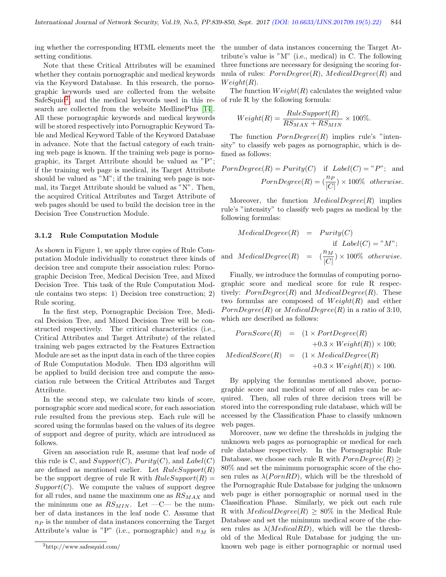ing whether the corresponding HTML elements meet the setting conditions.

Note that these Critical Attributes will be examined whether they contain pornographic and medical keywords via the Keyword Database. In this research, the pornographic keywords used are collected from the website SafeSquid<sup>[2](#page-5-0)</sup>, and the medical keywords used in this research are collected from the website MedlinePlus [\[14\]](#page-11-13). All these pornographic keywords and medical keywords will be stored respectively into Pornographic Keyword Table and Medical Keyword Table of the Keyword Database in advance. Note that the factual category of each training web page is known. If the training web page is pornographic, its Target Attribute should be valued as "P"; if the training web page is medical, its Target Attribute should be valued as "M"; if the training web page is normal, its Target Attribute should be valued as "N". Then, the acquired Critical Attributes and Target Attribute of web pages should be used to build the decision tree in the Decision Tree Construction Module.

#### 3.1.2 Rule Computation Module

As shown in Figure 1, we apply three copies of Rule Computation Module individually to construct three kinds of decision tree and compute their association rules: Pornographic Decision Tree, Medical Decision Tree, and Mixed Decision Tree. This task of the Rule Computation Module contains two steps: 1) Decision tree construction; 2) Rule scoring.

In the first step, Pornographic Decision Tree, Medical Decision Tree, and Mixed Decision Tree will be constructed respectively. The critical characteristics (i.e., Critical Attributes and Target Attribute) of the related training web pages extracted by the Features Extraction Module are set as the input data in each of the three copies of Rule Computation Module. Then ID3 algorithm will be applied to build decision tree and compute the association rule between the Critical Attributes and Target Attribute.

In the second step, we calculate two kinds of score, pornographic score and medical score, for each association rule resulted from the previous step. Each rule will be scored using the formulas based on the values of its degree of support and degree of purity, which are introduced as follows.

Given an association rule R, assume that leaf node of this rule is C, and  $Support(C)$ ,  $Purity(C)$ , and  $Label(C)$ are defined as mentioned earlier. Let  $RuleSupport(R)$ be the support degree of rule R with  $RuleSupport(R) =$  $Support(C)$ . We compute the values of support degree for all rules, and name the maximum one as  $RS_{MAX}$  and the minimum one as  $RS_{MIN}$ . Let  $-C-$  be the number of data instances in the leaf node C. Assume that  $n_P$  is the number of data instances concerning the Target Attribute's value is "P" (i.e., pornographic) and  $n<sub>M</sub>$  is

the number of data instances concerning the Target Attribute's value is "M" (i.e., medical) in C. The following three functions are necessary for designing the scoring formula of rules:  $PornDegree(R)$ ,  $MediaDegree(R)$  and  $Weight(R)$ .

The function  $Weight(R)$  calculates the weighted value of rule R by the following formula:

$$
Weight(R) = \frac{RuleSupport(R)}{RS_{MAX} + RS_{MIN}} \times 100\%.
$$

The function  $PornDegree(R)$  implies rule's "intensity" to classify web pages as pornographic, which is defined as follows:

$$
PornDegree(R) = Purity(C) \quad \text{if} \quad Label(C) = "P"; \quad \text{and}
$$
\n
$$
PornDegree(R) = \left(\frac{n_P}{|C|}\right) \times 100\% \quad otherwise.
$$

Moreover, the function  $MedicalDegree(R)$  implies rule's "intensity" to classify web pages as medical by the following formulas:

$$
MedianDegree(R) = Purity(C)
$$
  
if Label(C) = "M";  
and MedicalDegree(R) =  $\left(\frac{n_M}{|C|}\right) \times 100\%$  otherwise.

Finally, we introduce the formulas of computing pornographic score and medical score for rule R respectively:  $PornDegree(R)$  and  $MedianDegree(R)$ . These two formulas are composed of  $Weight(R)$  and either  $PornDegree(R)$  or  $MediaDegree(R)$  in a ratio of 3:10, which are described as follows:

$$
PornScore(R) = (1 \times PortDegree(R) +0.3 \times Weight(R)) \times 100;
$$
  
\n
$$
MedicalScore(R) = (1 \times MedicalDegree(R) +0.3 \times Weight(R)) \times 100.
$$

By applying the formulas mentioned above, pornographic score and medical score of all rules can be acquired. Then, all rules of three decision trees will be stored into the corresponding rule database, which will be accessed by the Classification Phase to classify unknown web pages.

Moreover, now we define the thresholds in judging the unknown web pages as pornographic or medical for each rule database respectively. In the Pornographic Rule Database, we choose each rule R with  $PornDegree(R) \ge$ 80% and set the minimum pornographic score of the chosen rules as  $\lambda$ (*PornRD*), which will be the threshold of the Pornographic Rule Database for judging the unknown web page is either pornographic or normal used in the Classification Phase. Similarly, we pick out each rule R with  $MedicalDegree(R) \geq 80\%$  in the Medical Rule Database and set the minimum medical score of the chosen rules as  $\lambda$ (*MedicalRD*), which will be the threshold of the Medical Rule Database for judging the unknown web page is either pornographic or normal used

<span id="page-5-0"></span><sup>2</sup>http://www.safesquid.com/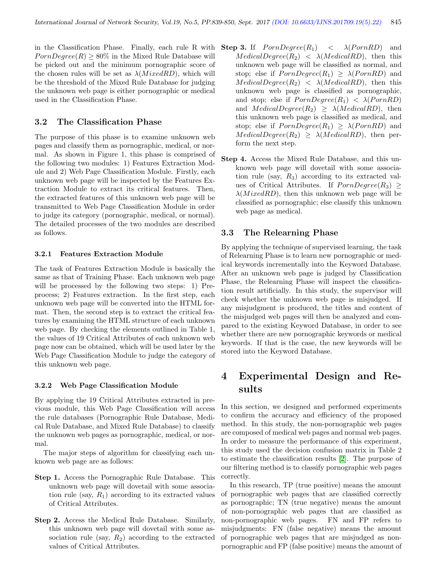in the Classification Phase. Finally, each rule R with  $PornDegree(R) \geq 80\%$  in the Mixed Rule Database will be picked out and the minimum pornographic score of the chosen rules will be set as  $\lambda(MixedRD)$ , which will be the threshold of the Mixed Rule Database for judging the unknown web page is either pornographic or medical used in the Classification Phase.

#### 3.2 The Classification Phase

The purpose of this phase is to examine unknown web pages and classify them as pornographic, medical, or normal. As shown in Figure 1, this phase is comprised of the following two modules: 1) Features Extraction Module and 2) Web Page Classification Module. Firstly, each unknown web page will be inspected by the Features Extraction Module to extract its critical features. Then, the extracted features of this unknown web page will be transmitted to Web Page Classification Module in order to judge its category (pornographic, medical, or normal). The detailed processes of the two modules are described as follows.

#### 3.2.1 Features Extraction Module

The task of Features Extraction Module is basically the same as that of Training Phase. Each unknown web page will be processed by the following two steps: 1) Preprocess; 2) Features extraction. In the first step, each unknown web page will be converted into the HTML format. Then, the second step is to extract the critical features by examining the HTML structure of each unknown web page. By checking the elements outlined in Table 1, the values of 19 Critical Attributes of each unknown web page now can be obtained, which will be used later by the Web Page Classification Module to judge the category of this unknown web page.

#### 3.2.2 Web Page Classification Module

By applying the 19 Critical Attributes extracted in previous module, this Web Page Classification will access the rule databases (Pornographic Rule Database, Medical Rule Database, and Mixed Rule Database) to classify the unknown web pages as pornographic, medical, or normal.

The major steps of algorithm for classifying each unknown web page are as follows:

- Step 1. Access the Pornographic Rule Database. This unknown web page will dovetail with some association rule (say,  $R_1$ ) according to its extracted values of Critical Attributes.
- Step 2. Access the Medical Rule Database. Similarly, this unknown web page will dovetail with some association rule (say,  $R_2$ ) according to the extracted values of Critical Attributes.
- **Step 3.** If  $PornDegree(R_1) < \lambda(PornRD)$  and  $MedicalDegree(R_2) < \lambda (MedicalRD)$ , then this unknown web page will be classified as normal, and stop; else if  $PornDegree(R_1) \geq \lambda(PornRD)$  and  $MedicalDegree(R_2) < \lambda (MedicalRD)$ , then this unknown web page is classified as pornographic, and stop; else if  $PornDegree(R_1) < \lambda(PornRD)$ and  $MedicalDegree(R_2) \geq \lambda (MedicalRD)$ , then this unknown web page is classified as medical, and stop; else if  $PornDegree(R_1) \geq \lambda(PornRD)$  and  $MedicalDegree(R_2) \geq \lambda (MedicalRD)$ , then perform the next step.
- Step 4. Access the Mixed Rule Database, and this unknown web page will dovetail with some association rule (say,  $R_3$ ) according to its extracted values of Critical Attributes. If  $PornDegree(R_3) \geq$  $\lambda(MixedRD)$ , then this unknown web page will be classified as pornographic; else classify this unknown web page as medical.

#### 3.3 The Relearning Phase

By applying the technique of supervised learning, the task of Relearning Phase is to learn new pornographic or medical keywords incrementally into the Keyword Database. After an unknown web page is judged by Classification Phase, the Relearning Phase will inspect the classification result artificially. In this study, the supervisor will check whether the unknown web page is misjudged. If any misjudgment is produced, the titles and content of the misjudged web pages will then be analyzed and compared to the existing Keyword Database, in order to see whether there are new pornographic keywords or medical keywords. If that is the case, the new keywords will be stored into the Keyword Database.

# 4 Experimental Design and Results

In this section, we designed and performed experiments to confirm the accuracy and efficiency of the proposed method. In this study, the non-pornographic web pages are composed of medical web pages and normal web pages. In order to measure the performance of this experiment, this study used the decision confusion matrix in Table 2 to estimate the classification results [\[2\]](#page-10-11). The purpose of our filtering method is to classify pornographic web pages correctly.

In this research, TP (true positive) means the amount of pornographic web pages that are classified correctly as pornographic; TN (true negative) means the amount of non-pornographic web pages that are classified as non-pornographic web pages. FN and FP refers to misjudgments: FN (false negative) means the amount of pornographic web pages that are misjudged as nonpornographic and FP (false positive) means the amount of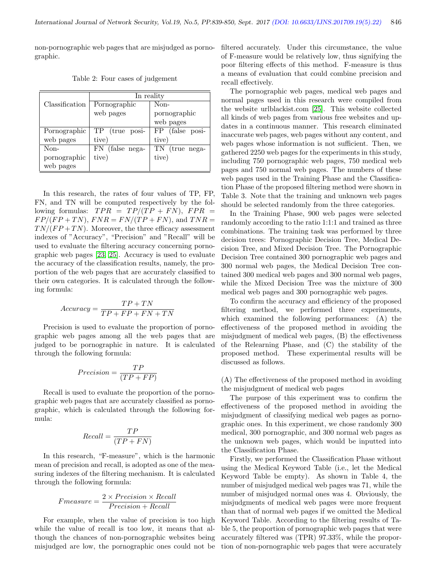non-pornographic web pages that are misjudged as pornographic.

|  |  |  |  | Table 2: Four cases of judgement |
|--|--|--|--|----------------------------------|
|--|--|--|--|----------------------------------|

|                | In reality      |                 |  |  |  |
|----------------|-----------------|-----------------|--|--|--|
| Classification | Pornographic    | Non-            |  |  |  |
|                | web pages       | pornographic    |  |  |  |
|                |                 | web pages       |  |  |  |
| Pornographic   | TP (true posi-  | FP (false posi- |  |  |  |
| web pages      | tive)           | tive)           |  |  |  |
| Non-           | FN (false nega- | TN (true nega-  |  |  |  |
| pornographic   | tive)           | tive)           |  |  |  |
| web pages      |                 |                 |  |  |  |

In this research, the rates of four values of TP, FP, FN, and TN will be computed respectively by the following formulas:  $TPR = TP/(TP + FN)$ ,  $FPR =$  $FP/(FP + TN)$ ,  $FNR = FN/(TP + FN)$ , and  $TNR =$  $TN/(FP+TN)$ . Moreover, the three efficacy assessment indexes of "Accuracy", "Precision" and "Recall" will be used to evaluate the filtering accuracy concerning pornographic web pages [\[23,](#page-11-3) [25\]](#page-11-14). Accuracy is used to evaluate the accuracy of the classification results, namely, the proportion of the web pages that are accurately classified to their own categories. It is calculated through the following formula:

$$
Accuracy = \frac{TP + TN}{TP + FP + FN + TN}
$$

Precision is used to evaluate the proportion of pornographic web pages among all the web pages that are judged to be pornographic in nature. It is calculated through the following formula:

$$
Precision = \frac{TP}{(TP + FP)}
$$

Recall is used to evaluate the proportion of the pornographic web pages that are accurately classified as pornographic, which is calculated through the following formula:

$$
Recall = \frac{TP}{(TP + FN)}
$$

In this research, "F-measure", which is the harmonic mean of precision and recall, is adopted as one of the measuring indexes of the filtering mechanism. It is calculated through the following formula:

$$
Fmeasure = \frac{2 \times Precision \times Recall}{Precision + Recall}
$$

For example, when the value of precision is too high while the value of recall is too low, it means that although the chances of non-pornographic websites being misjudged are low, the pornographic ones could not be

filtered accurately. Under this circumstance, the value of F-measure would be relatively low, thus signifying the poor filtering effects of this method. F-measure is thus a means of evaluation that could combine precision and recall effectively.

The pornographic web pages, medical web pages and normal pages used in this research were compiled from the website urlblackist.com [\[25\]](#page-11-14). This website collected all kinds of web pages from various free websites and updates in a continuous manner. This research eliminated inaccurate web pages, web pages without any content, and web pages whose information is not sufficient. Then, we gathered 2250 web pages for the experiments in this study, including 750 pornographic web pages, 750 medical web pages and 750 normal web pages. The numbers of these web pages used in the Training Phase and the Classification Phase of the proposed filtering method were shown in Table 3. Note that the training and unknown web pages should be selected randomly from the three categories.

In the Training Phase, 900 web pages were selected randomly according to the ratio 1:1:1 and trained as three combinations. The training task was performed by three decision trees: Pornographic Decision Tree, Medical Decision Tree, and Mixed Decision Tree. The Pornographic Decision Tree contained 300 pornographic web pages and 300 normal web pages, the Medical Decision Tree contained 300 medical web pages and 300 normal web pages, while the Mixed Decision Tree was the mixture of 300 medical web pages and 300 pornographic web pages.

To confirm the accuracy and efficiency of the proposed filtering method, we performed three experiments, which examined the following performances: (A) the effectiveness of the proposed method in avoiding the misjudgment of medical web pages, (B) the effectiveness of the Relearning Phase, and (C) the stability of the proposed method. These experimental results will be discussed as follows.

(A) The effectiveness of the proposed method in avoiding the misjudgment of medical web pages

The purpose of this experiment was to confirm the effectiveness of the proposed method in avoiding the misjudgment of classifying medical web pages as pornographic ones. In this experiment, we chose randomly 300 medical, 300 pornographic, and 300 normal web pages as the unknown web pages, which would be inputted into the Classification Phase.

Firstly, we performed the Classification Phase without using the Medical Keyword Table (i.e., let the Medical Keyword Table be empty). As shown in Table 4, the number of misjudged medical web pages was 71, while the number of misjudged normal ones was 4. Obviously, the misjudgments of medical web pages were more frequent than that of normal web pages if we omitted the Medical Keyword Table. According to the filtering results of Table 5, the proportion of pornographic web pages that were accurately filtered was (TPR) 97.33%, while the proportion of non-pornographic web pages that were accurately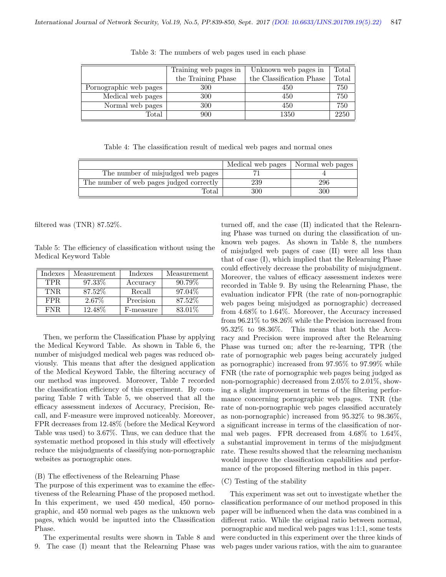|                        | Training web pages in | Unknown web pages in     | Total |
|------------------------|-----------------------|--------------------------|-------|
|                        | the Training Phase    | the Classification Phase | Total |
| Pornographic web pages | 300                   | 450                      | 750   |
| Medical web pages      | 300                   | 450                      | 750   |
| Normal web pages       | 300                   | 450                      | 750   |
| $\rm Total$            | 900                   | 1350                     | 2250  |

Table 3: The numbers of web pages used in each phase

Table 4: The classification result of medical web pages and normal ones

|                                          | Medical web pages | Normal web pages |
|------------------------------------------|-------------------|------------------|
| The number of misjudged web pages        |                   |                  |
| The number of web pages judged correctly | 239               | 296              |
| Total                                    | 300               | 300              |

filtered was (TNR) 87.52%.

Table 5: The efficiency of classification without using the Medical Keyword Table

| Indexes | Measurement | Indexes   | Measurement |
|---------|-------------|-----------|-------------|
| TPR.    | 97.33\%     | Accuracy  | $90.79\%$   |
| TNR.    | 87.52%      | Recall    | 97.04\%     |
| FPR.    | 2.67%       | Precision | 87.52%      |
| FNR.    | 12.48\%     | F-measure | 83.01%      |

Then, we perform the Classification Phase by applying the Medical Keyword Table. As shown in Table 6, the number of misjudged medical web pages was reduced obviously. This means that after the designed application of the Medical Keyword Table, the filtering accuracy of our method was improved. Moreover, Table 7 recorded the classification efficiency of this experiment. By comparing Table 7 with Table 5, we observed that all the efficacy assessment indexes of Accuracy, Precision, Recall, and F-measure were improved noticeably. Moreover, FPR decreases from 12.48% (before the Medical Keyword Table was used) to 3.67%. Thus, we can deduce that the systematic method proposed in this study will effectively reduce the misjudgments of classifying non-pornographic websites as pornographic ones.

#### (B) The effectiveness of the Relearning Phase

The purpose of this experiment was to examine the effectiveness of the Relearning Phase of the proposed method. In this experiment, we used 450 medical, 450 pornographic, and 450 normal web pages as the unknown web pages, which would be inputted into the Classification Phase.

The experimental results were shown in Table 8 and 9. The case (I) meant that the Relearning Phase was

turned off, and the case (II) indicated that the Relearning Phase was turned on during the classification of unknown web pages. As shown in Table 8, the numbers of misjudged web pages of case (II) were all less than that of case (I), which implied that the Relearning Phase could effectively decrease the probability of misjudgment. Moreover, the values of efficacy assessment indexes were recorded in Table 9. By using the Relearning Phase, the evaluation indicator FPR (the rate of non-pornographic web pages being misjudged as pornographic) decreased from 4.68% to 1.64%. Moreover, the Accuracy increased from 96.21% to 98.26% while the Precision increased from 95.32% to 98.36%. This means that both the Accuracy and Precision were improved after the Relearning Phase was turned on; after the re-learning, TPR (the rate of pornographic web pages being accurately judged as pornographic) increased from 97.95% to 97.99% while FNR (the rate of pornographic web pages being judged as non-pornographic) decreased from 2.05% to 2.01%, showing a slight improvement in terms of the filtering performance concerning pornographic web pages. TNR (the rate of non-pornographic web pages classified accurately as non-pornographic) increased from 95.32% to 98.36%, a significant increase in terms of the classification of normal web pages. FPR decreased from 4.68% to 1.64%, a substantial improvement in terms of the misjudgment rate. These results showed that the relearning mechanism would improve the classification capabilities and performance of the proposed filtering method in this paper.

#### (C) Testing of the stability

This experiment was set out to investigate whether the classification performance of our method proposed in this paper will be influenced when the data was combined in a different ratio. While the original ratio between normal, pornographic and medical web pages was 1:1:1, some tests were conducted in this experiment over the three kinds of web pages under various ratios, with the aim to guarantee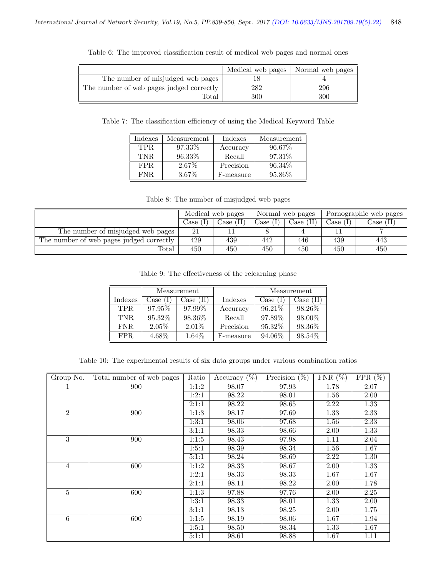|                                          | Medical web pages | Normal web pages |
|------------------------------------------|-------------------|------------------|
| The number of misjudged web pages        |                   |                  |
| The number of web pages judged correctly | 282               | 296              |
| Total                                    | 300               | 300              |

Table 6: The improved classification result of medical web pages and normal ones

Table 7: The classification efficiency of using the Medical Keyword Table

| Indexes | Measurement | Indexes   | Measurement |
|---------|-------------|-----------|-------------|
| TPR.    | 97.33\%     | Accuracy  | 96.67%      |
| TNR.    | 96.33\%     | Recall    | 97.31\%     |
| FPR.    | 2.67\%      | Precision | 96.34\%     |
| FNR.    | 3.67%       | F-measure | 95.86%      |

Table 8: The number of misjudged web pages

|                                          | Medical web pages |                    | Normal web pages |           | Pornographic web pages |                    |
|------------------------------------------|-------------------|--------------------|------------------|-----------|------------------------|--------------------|
|                                          | Case (            | $\text{Case (II)}$ | Case (I)         | Case (II) | Case (I)               | $\text{Case (II)}$ |
| The number of misjudged web pages        | 21                |                    |                  |           |                        |                    |
| The number of web pages judged correctly | 429               | 439                | 442              | 446       | 439                    | 443                |
| Total                                    | 450               | 450                | 450              | 450       | 450                    | 450                |

Table 9: The effectiveness of the relearning phase

|         | Measurement |           |           |            | Measurement |
|---------|-------------|-----------|-----------|------------|-------------|
| Indexes | Case (1)    | Case (II) | Indexes   | Case $(1)$ | Case (II)   |
| TPR.    | $97.95\%$   | 97.99%    | Accuracy  | 96.21\%    | 98.26%      |
| TNR.    | 95.32\%     | 98.36\%   | Recall    | 97.89%     | 98.00%      |
| FNR.    | $2.05\%$    | $2.01\%$  | Precision | 95.32\%    | 98.36%      |
| FPR.    | 4.68%       | 1.64%     | F-measure | 94.06%     | 98.54%      |

Table 10: The experimental results of six data groups under various combination ratios

| Group No.      | Total number of web pages | Ratio | Accuracy $(\overline{\%})$ | Precision $(\%)$ | $FNR(\%)$ | $FPR(\%)$ |
|----------------|---------------------------|-------|----------------------------|------------------|-----------|-----------|
| 1              | 900                       | 1:1:2 | 98.07                      | 97.93            | 1.78      | 2.07      |
|                |                           | 1:2:1 | 98.22                      | 98.01            | 1.56      | 2.00      |
|                |                           | 2:1:1 | 98.22                      | 98.65            | 2.22      | 1.33      |
| $\overline{2}$ | 900                       | 1:1:3 | 98.17                      | 97.69            | 1.33      | 2.33      |
|                |                           | 1:3:1 | 98.06                      | 97.68            | 1.56      | 2.33      |
|                |                           | 3:1:1 | 98.33                      | 98.66            | 2.00      | 1.33      |
| 3              | 900                       | 1:1:5 | 98.43                      | 97.98            | 1.11      | 2.04      |
|                |                           | 1:5:1 | 98.39                      | 98.34            | 1.56      | 1.67      |
|                |                           | 5:1:1 | 98.24                      | 98.69            | 2.22      | 1.30      |
| $\overline{4}$ | 600                       | 1:1:2 | 98.33                      | 98.67            | 2.00      | 1.33      |
|                |                           | 1:2:1 | 98.33                      | 98.33            | 1.67      | 1.67      |
|                |                           | 2:1:1 | 98.11                      | 98.22            | 2.00      | 1.78      |
| 5              | 600                       | 1:1:3 | 97.88                      | 97.76            | 2.00      | 2.25      |
|                |                           | 1:3:1 | 98.33                      | 98.01            | 1.33      | 2.00      |
|                |                           | 3:1:1 | 98.13                      | 98.25            | 2.00      | 1.75      |
| 6              | 600                       | 1:1:5 | 98.19                      | 98.06            | 1.67      | 1.94      |
|                |                           | 1:5:1 | 98.50                      | 98.34            | 1.33      | 1.67      |
|                |                           | 5:1:1 | 98.61                      | 98.88            | 1.67      | 1.11      |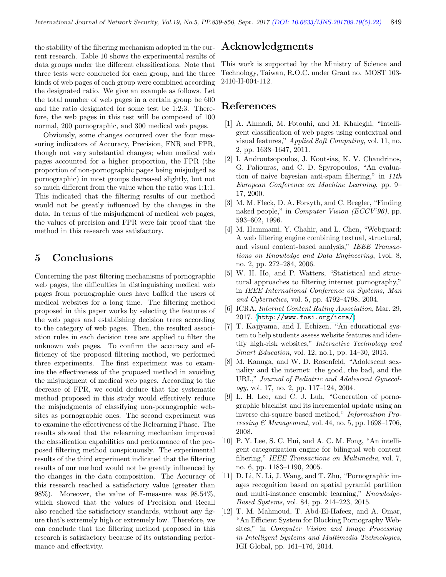the stability of the filtering mechanism adopted in the current research. Table 10 shows the experimental results of data groups under the different classifications. Note that three tests were conducted for each group, and the three kinds of web pages of each group were combined according the designated ratio. We give an example as follows. Let the total number of web pages in a certain group be 600 and the ratio designated for some test be 1:2:3. Therefore, the web pages in this test will be composed of 100 normal, 200 pornographic, and 300 medical web pages.

Obviously, some changes occurred over the four measuring indicators of Accuracy, Precision, FNR and FPR, though not very substantial changes; when medical web pages accounted for a higher proportion, the FPR (the proportion of non-pornographic pages being misjudged as pornographic) in most groups decreased slightly, but not so much different from the value when the ratio was 1:1:1. This indicated that the filtering results of our method would not be greatly influenced by the changes in the data. In terms of the misjudgment of medical web pages, the values of precision and FPR were fair proof that the method in this research was satisfactory.

### 5 Conclusions

Concerning the past filtering mechanisms of pornographic web pages, the difficulties in distinguishing medical web pages from pornographic ones have baffled the users of medical websites for a long time. The filtering method proposed in this paper works by selecting the features of the web pages and establishing decision trees according to the category of web pages. Then, the resulted association rules in each decision tree are applied to filter the unknown web pages. To confirm the accuracy and efficiency of the proposed filtering method, we performed three experiments. The first experiment was to examine the effectiveness of the proposed method in avoiding the misjudgment of medical web pages. According to the decrease of FPR, we could deduce that the systematic method proposed in this study would effectively reduce the misjudgments of classifying non-pornographic websites as pornographic ones. The second experiment was to examine the effectiveness of the Relearning Phase. The results showed that the relearning mechanism improved the classification capabilities and performance of the proposed filtering method conspicuously. The experimental results of the third experiment indicated that the filtering results of our method would not be greatly influenced by the changes in the data composition. The Accuracy of this research reached a satisfactory value (greater than 98%). Moreover, the value of F-measure was 98.54%, which showed that the values of Precision and Recall also reached the satisfactory standards, without any figure that's extremely high or extremely low. Therefore, we can conclude that the filtering method proposed in this research is satisfactory because of its outstanding performance and effectivity.

### Acknowledgments

This work is supported by the Ministry of Science and Technology, Taiwan, R.O.C. under Grant no. MOST 103- 2410-H-004-112.

### References

- <span id="page-10-4"></span>[1] A. Ahmadi, M. Fotouhi, and M. Khaleghi, "Intelligent classification of web pages using contextual and visual features," Applied Soft Computing, vol. 11, no. 2, pp. 1638–1647, 2011.
- <span id="page-10-11"></span>[2] I. Androutsopoulos, J. Koutsias, K. V. Chandrinos, G. Paliouras, and C. D. Spyropoulos, "An evaluation of naive bayesian anti-spam filtering," in 11th European Conference on Machine Learning, pp. 9– 17, 2000.
- <span id="page-10-5"></span>[3] M. M. Fleck, D. A. Forsyth, and C. Bregler, "Finding naked people," in *Computer Vision (ECCV'96)*, pp. 593–602, 1996.
- <span id="page-10-7"></span>[4] M. Hammami, Y. Chahir, and L. Chen, "Webguard: A web filtering engine combining textual, structural, and visual content-based analysis," IEEE Transactions on Knowledge and Data Engineering, 1vol. 8, no. 2, pp. 272–284, 2006.
- <span id="page-10-1"></span>[5] W. H. Ho, and P. Watters, "Statistical and structural approaches to filtering internet pornography," in IEEE International Conference on Systems, Man and Cybernetics, vol. 5, pp. 4792–4798, 2004.
- <span id="page-10-0"></span>[6] ICRA, Internet Content Rating Association, Mar. 29, 2017. (<http://www.fosi.org/icra/>)
- <span id="page-10-8"></span>[7] T. Kajiyama, and I. Echizen, "An educational system to help students assess website features and identify high-risk websites," Interactive Technology and Smart Education, vol. 12, no.1, pp. 14–30, 2015.
- <span id="page-10-2"></span>[8] M. Kanuga, and W. D. Rosenfeld, "Adolescent sexuality and the internet: the good, the bad, and the URL," Journal of Pediatric and Adolescent Gynecology, vol. 17, no. 2, pp. 117–124, 2004.
- <span id="page-10-3"></span>[9] L. H. Lee, and C. J. Luh, "Generation of pornographic blacklist and its incremental update using an inverse chi-square based method," Information Processing  $\mathcal{O}$  Management, vol. 44, no. 5, pp. 1698–1706, 2008.
- <span id="page-10-10"></span>[10] P. Y. Lee, S. C. Hui, and A. C. M. Fong, "An intelligent categorization engine for bilingual web content filtering," IEEE Transactions on Multimedia, vol. 7, no. 6, pp. 1183–1190, 2005.
- <span id="page-10-6"></span>[11] D. Li, N. Li, J. Wang, and T. Zhu, "Pornographic images recognition based on spatial pyramid partition and multi-instance ensemble learning," Knowledge-Based Systems, vol. 84, pp. 214–223, 2015.
- <span id="page-10-9"></span>[12] T. M. Mahmoud, T. Abd-El-Hafeez, and A. Omar, "An Efficient System for Blocking Pornography Websites," in Computer Vision and Image Processing in Intelligent Systems and Multimedia Technologies, IGI Global, pp. 161–176, 2014.